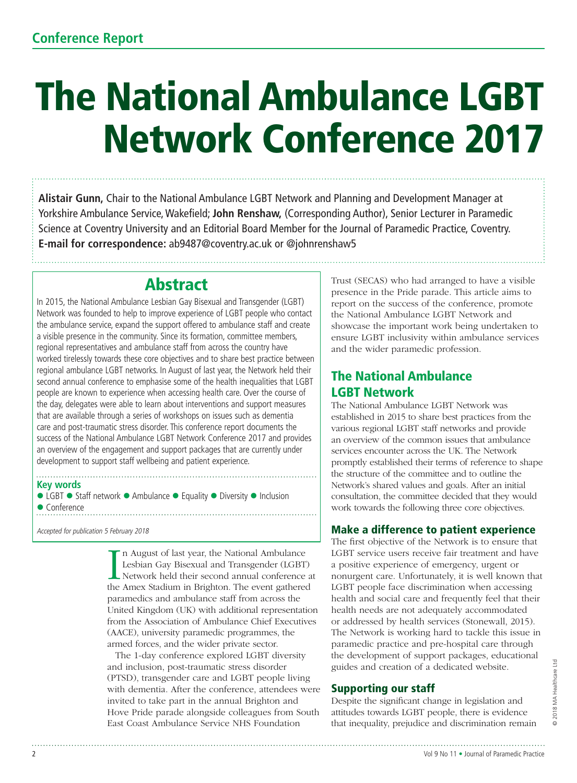# The National Ambulance LGBT Network Conference 2017

**Alistair Gunn,** Chair to the National Ambulance LGBT Network and Planning and Development Manager at Yorkshire Ambulance Service, Wakefield; **John Renshaw,** (Corresponding Author), Senior Lecturer in Paramedic Science at Coventry University and an Editorial Board Member for the Journal of Paramedic Practice, Coventry. **E-mail for correspondence:** ab9487@coventry.ac.uk or @johnrenshaw5

# Abstract

In 2015, the National Ambulance Lesbian Gay Bisexual and Transgender (LGBT) Network was founded to help to improve experience of LGBT people who contact the ambulance service, expand the support offered to ambulance staff and create a visible presence in the community. Since its formation, committee members, regional representatives and ambulance staff from across the country have worked tirelessly towards these core objectives and to share best practice between regional ambulance LGBT networks. In August of last year, the Network held their second annual conference to emphasise some of the health inequalities that LGBT people are known to experience when accessing health care. Over the course of the day, delegates were able to learn about interventions and support measures that are available through a series of workshops on issues such as dementia care and post-traumatic stress disorder. This conference report documents the success of the National Ambulance LGBT Network Conference 2017 and provides an overview of the engagement and support packages that are currently under development to support staff wellbeing and patient experience.

#### **Key words**

 $\bullet$  LGBT  $\bullet$  Staff network  $\bullet$  Ambulance  $\bullet$  Equality  $\bullet$  Diversity  $\bullet$  Inclusion • Conference 

Accepted for publication 5 February 2018

In August of last year, the National Ambulance<br>Lesbian Gay Bisexual and Transgender (LGBT)<br>Network held their second annual conference a<br>the Amex Stadium in Brighton. The event gathered n August of last year, the National Ambulance Lesbian Gay Bisexual and Transgender (LGBT) Network held their second annual conference at paramedics and ambulance staff from across the United Kingdom (UK) with additional representation from the Association of Ambulance Chief Executives (AACE), university paramedic programmes, the armed forces, and the wider private sector.

The 1-day conference explored LGBT diversity and inclusion, post-traumatic stress disorder (PTSD), transgender care and LGBT people living with dementia. After the conference, attendees were invited to take part in the annual Brighton and Hove Pride parade alongside colleagues from South East Coast Ambulance Service NHS Foundation

Trust (SECAS) who had arranged to have a visible presence in the Pride parade. This article aims to report on the success of the conference, promote the National Ambulance LGBT Network and showcase the important work being undertaken to ensure LGBT inclusivity within ambulance services and the wider paramedic profession.

## The National Ambulance LGBT Network

The National Ambulance LGBT Network was established in 2015 to share best practices from the various regional LGBT staff networks and provide an overview of the common issues that ambulance services encounter across the UK. The Network promptly established their terms of reference to shape the structure of the committee and to outline the Network's shared values and goals. After an initial consultation, the committee decided that they would work towards the following three core objectives.

### Make a difference to patient experience

The first objective of the Network is to ensure that LGBT service users receive fair treatment and have a positive experience of emergency, urgent or nonurgent care. Unfortunately, it is well known that LGBT people face discrimination when accessing health and social care and frequently feel that their health needs are not adequately accommodated or addressed by health services (Stonewall, 2015). The Network is working hard to tackle this issue in paramedic practice and pre-hospital care through the development of support packages, educational guides and creation of a dedicated website.

### Supporting our staff

Despite the significant change in legislation and attitudes towards LGBT people, there is evidence that inequality, prejudice and discrimination remain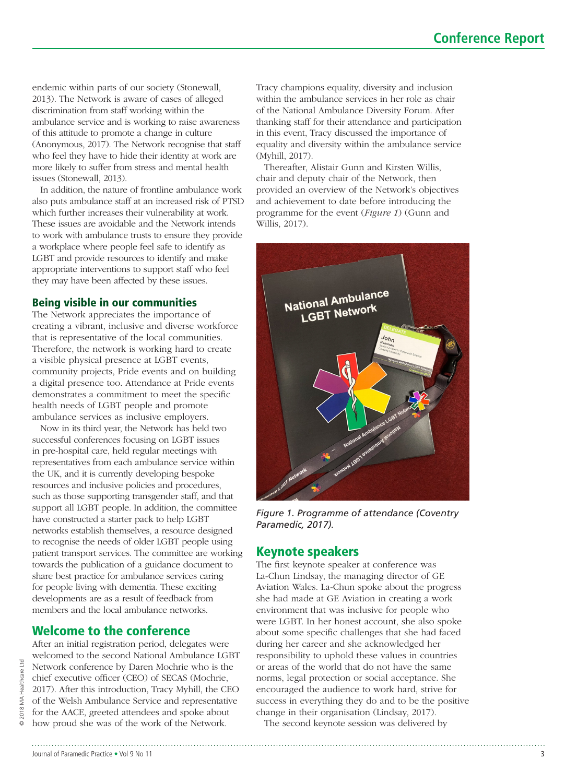endemic within parts of our society (Stonewall, 2013). The Network is aware of cases of alleged discrimination from staff working within the ambulance service and is working to raise awareness of this attitude to promote a change in culture (Anonymous, 2017). The Network recognise that staff who feel they have to hide their identity at work are more likely to suffer from stress and mental health issues (Stonewall, 2013).

In addition, the nature of frontline ambulance work also puts ambulance staff at an increased risk of PTSD which further increases their vulnerability at work. These issues are avoidable and the Network intends to work with ambulance trusts to ensure they provide a workplace where people feel safe to identify as LGBT and provide resources to identify and make appropriate interventions to support staff who feel they may have been affected by these issues.

#### Being visible in our communities

The Network appreciates the importance of creating a vibrant, inclusive and diverse workforce that is representative of the local communities. Therefore, the network is working hard to create a visible physical presence at LGBT events, community projects, Pride events and on building a digital presence too. Attendance at Pride events demonstrates a commitment to meet the specific health needs of LGBT people and promote ambulance services as inclusive employers.

Now in its third year, the Network has held two successful conferences focusing on LGBT issues in pre-hospital care, held regular meetings with representatives from each ambulance service within the UK, and it is currently developing bespoke resources and inclusive policies and procedures, such as those supporting transgender staff, and that support all LGBT people. In addition, the committee have constructed a starter pack to help LGBT networks establish themselves, a resource designed to recognise the needs of older LGBT people using patient transport services. The committee are working towards the publication of a guidance document to share best practice for ambulance services caring for people living with dementia. These exciting developments are as a result of feedback from members and the local ambulance networks.

## Welcome to the conference

After an initial registration period, delegates were welcomed to the second National Ambulance LGBT Network conference by Daren Mochrie who is the chief executive officer (CEO) of SECAS (Mochrie, 2017). After this introduction, Tracy Myhill, the CEO of the Welsh Ambulance Service and representative for the AACE, greeted attendees and spoke about how proud she was of the work of the Network.

Tracy champions equality, diversity and inclusion within the ambulance services in her role as chair of the National Ambulance Diversity Forum. After thanking staff for their attendance and participation in this event, Tracy discussed the importance of equality and diversity within the ambulance service (Myhill, 2017).

Thereafter, Alistair Gunn and Kirsten Willis, chair and deputy chair of the Network, then provided an overview of the Network's objectives and achievement to date before introducing the programme for the event (*Figure 1*) (Gunn and Willis, 2017).



*Figure 1. Programme of attendance (Coventry Paramedic, 2017).* 

### Keynote speakers

The first keynote speaker at conference was La-Chun Lindsay, the managing director of GE Aviation Wales. La-Chun spoke about the progress she had made at GE Aviation in creating a work environment that was inclusive for people who were LGBT. In her honest account, she also spoke about some specific challenges that she had faced during her career and she acknowledged her responsibility to uphold these values in countries or areas of the world that do not have the same norms, legal protection or social acceptance. She encouraged the audience to work hard, strive for success in everything they do and to be the positive change in their organisation (Lindsay, 2017).

The second keynote session was delivered by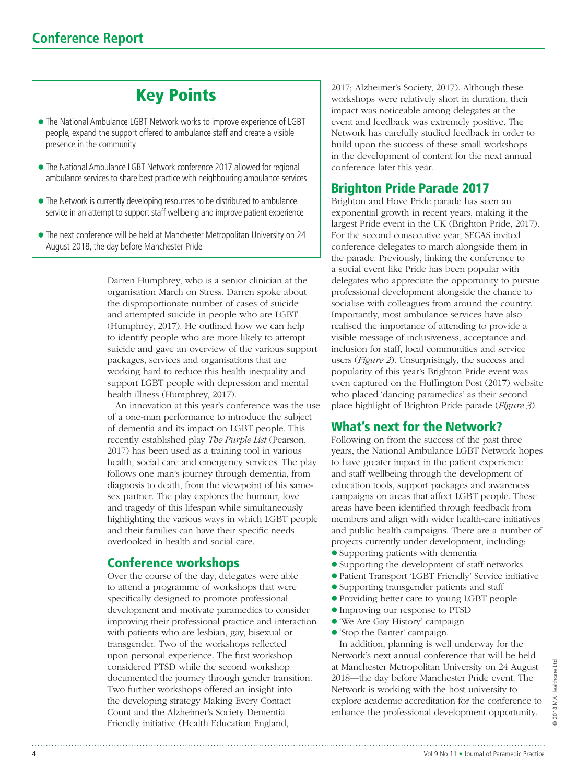# Key Points

- $\bullet$  The National Ambulance LGBT Network works to improve experience of LGBT people, expand the support offered to ambulance staff and create a visible presence in the community
- The National Ambulance LGBT Network conference 2017 allowed for regional ambulance services to share best practice with neighbouring ambulance services
- The Network is currently developing resources to be distributed to ambulance service in an attempt to support staff wellbeing and improve patient experience
- The next conference will be held at Manchester Metropolitan University on 24 August 2018, the day before Manchester Pride

Darren Humphrey, who is a senior clinician at the organisation March on Stress. Darren spoke about the disproportionate number of cases of suicide and attempted suicide in people who are LGBT (Humphrey, 2017). He outlined how we can help to identify people who are more likely to attempt suicide and gave an overview of the various support packages, services and organisations that are working hard to reduce this health inequality and support LGBT people with depression and mental health illness (Humphrey, 2017).

An innovation at this year's conference was the use of a one-man performance to introduce the subject of dementia and its impact on LGBT people. This recently established play *The Purple List* (Pearson, 2017) has been used as a training tool in various health, social care and emergency services. The play follows one man's journey through dementia, from diagnosis to death, from the viewpoint of his samesex partner. The play explores the humour, love and tragedy of this lifespan while simultaneously highlighting the various ways in which LGBT people and their families can have their specific needs overlooked in health and social care.

#### Conference workshops

Over the course of the day, delegates were able to attend a programme of workshops that were specifically designed to promote professional development and motivate paramedics to consider improving their professional practice and interaction with patients who are lesbian, gay, bisexual or transgender. Two of the workshops reflected upon personal experience. The first workshop considered PTSD while the second workshop documented the journey through gender transition. Two further workshops offered an insight into the developing strategy Making Every Contact Count and the Alzheimer's Society Dementia Friendly initiative (Health Education England,

2017; Alzheimer's Society, 2017). Although these workshops were relatively short in duration, their impact was noticeable among delegates at the event and feedback was extremely positive. The Network has carefully studied feedback in order to build upon the success of these small workshops in the development of content for the next annual conference later this year.

#### Brighton Pride Parade 2017

Brighton and Hove Pride parade has seen an exponential growth in recent years, making it the largest Pride event in the UK (Brighton Pride, 2017). For the second consecutive year, SECAS invited conference delegates to march alongside them in the parade. Previously, linking the conference to a social event like Pride has been popular with delegates who appreciate the opportunity to pursue professional development alongside the chance to socialise with colleagues from around the country. Importantly, most ambulance services have also realised the importance of attending to provide a visible message of inclusiveness, acceptance and inclusion for staff, local communities and service users (*Figure 2*). Unsurprisingly, the success and popularity of this year's Brighton Pride event was even captured on the Huffington Post (2017) website who placed 'dancing paramedics' as their second place highlight of Brighton Pride parade (*Figure 3*).

#### What's next for the Network?

Following on from the success of the past three years, the National Ambulance LGBT Network hopes to have greater impact in the patient experience and staff wellbeing through the development of education tools, support packages and awareness campaigns on areas that affect LGBT people. These areas have been identified through feedback from members and align with wider health-care initiatives and public health campaigns. There are a number of projects currently under development, including:

- l Supporting patients with dementia
- l Supporting the development of staff networks
- l Patient Transport 'LGBT Friendly' Service initiative
- l Supporting transgender patients and staff
- l Providing better care to young LGBT people
- l Improving our response to PTSD
- l 'We Are Gay History' campaign
- l 'Stop the Banter' campaign.

In addition, planning is well underway for the Network's next annual conference that will be held at Manchester Metropolitan University on 24 August 2018—the day before Manchester Pride event. The Network is working with the host university to explore academic accreditation for the conference to enhance the professional development opportunity.